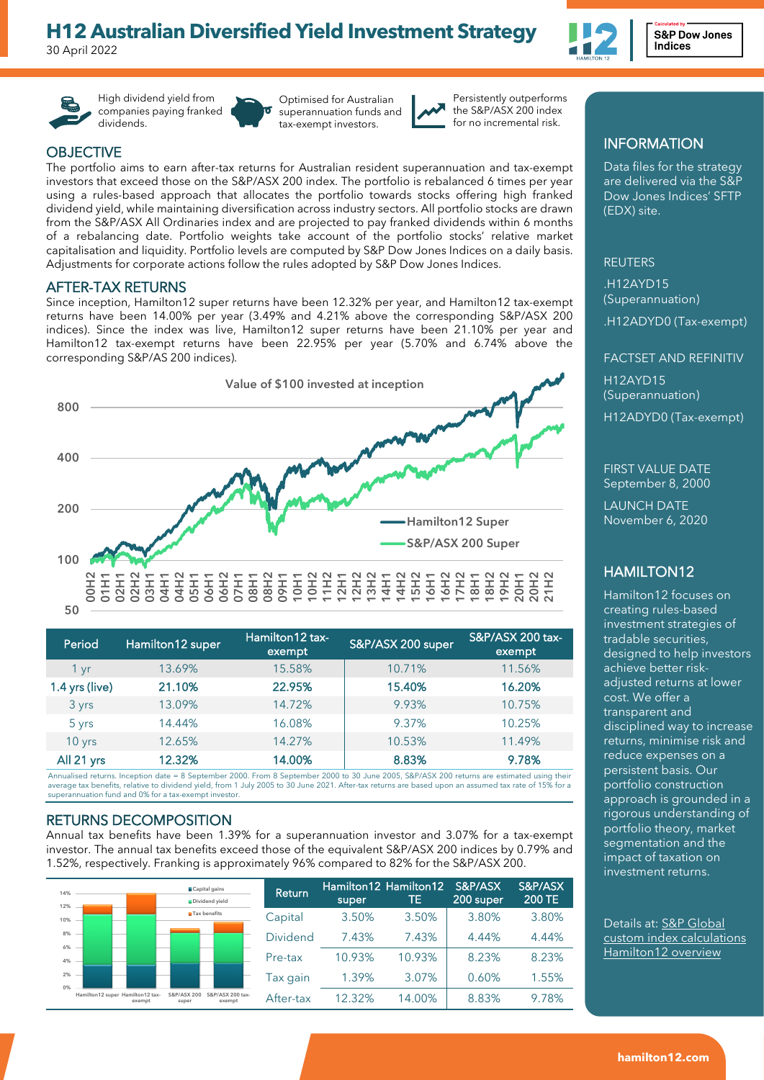# **[H12 Australian Diversified Yield Inv](https://www.spglobal.com/spdji/en/custom-index-calculations/hamilton12/all/#overview)estment Strategy**

30 April 2022



High dividend yield from companies paying franked dividends.

Optimised for Australian superannuation funds and tax-exempt investors.



Persistently outperforms the S&P/ASX 200 index for no incremental risk.

## **OBJECTIVE**

The portfolio aims to earn after-tax returns for Australian resident superannuation and tax-exempt investors that exceed those on the S&P/ASX 200 index. The portfolio is rebalanced 6 times per year using a rules-based approach that allocates the portfolio towards stocks offering high franked dividend yield, while maintaining diversification across industry sectors. All portfolio stocks are drawn from the S&P/ASX All Ordinaries index and are projected to pay franked dividends within 6 months of a rebalancing date. Portfolio weights take account of the portfolio stocks' relative market capitalisation and liquidity. Portfolio levels are computed by S&P Dow Jones Indices on a daily basis. Adjustments for corporate actions follow the rules adopted by S&P Dow Jones Indices.

### AFTER-TAX RETURNS

Since inception, Hamilton12 super returns have been 12.32% per year, and Hamilton12 tax-exempt returns have been 14.00% per year (3.49% and 4.21% above the corresponding S&P/ASX 200 indices). Since the index was live, Hamilton12 super returns have been 21.10% per year and Hamilton12 tax-exempt returns have been 22.95% per year (5.70% and 6.74% above the corresponding S&P/AS 200 indices).



| Period         | Hamilton12 super | Hamilton12 tax-<br>exempt | S&P/ASX 200 super | S&P/ASX 200 tax-<br>exempt |
|----------------|------------------|---------------------------|-------------------|----------------------------|
| 1 yr           | 13.69%           | 15.58%                    | 10.71%            | 11.56%                     |
| 1.4 yrs (live) | 21.10%           | 22.95%                    | 15.40%            | 16.20%                     |
| 3 yrs          | 13.09%           | 14.72%                    | 9.93%             | 10.75%                     |
| 5 yrs          | 14.44%           | 16.08%                    | 9.37%             | 10.25%                     |
| $10$ yrs       | 12.65%           | 14.27%                    | 10.53%            | 11.49%                     |
| All 21 yrs     | 12.32%           | 14.00%                    | 8.83%             | 9.78%                      |

Annualised returns. Inception date = 8 September 2000. From 8 September 2000 to 30 June 2005, S&P/ASX 200 returns are estimated using their average tax benefits, relative to dividend yield, from 1 July 2005 to 30 June 2021. After-tax returns are based upon an assumed tax rate of 15% for a superannuation fund and 0% for a tax-exempt investor.

#### RETURNS DECOMPOSITION

Annual tax benefits have been 1.39% for a superannuation investor and 3.07% for a tax-exempt investor. The annual tax benefits exceed those of the equivalent S&P/ASX 200 indices by 0.79% and 1.52%, respectively. Franking is approximately 96% compared to 82% for the S&P/ASX 200.

| 14%<br>12% |                                            | ■Capital gains<br>Dividend yield                   | Return          | super  | Hamilton12 Hamilton12<br>TE. | S&P/ASX<br>200 super | S&P/ASX<br><b>200 TE</b> |
|------------|--------------------------------------------|----------------------------------------------------|-----------------|--------|------------------------------|----------------------|--------------------------|
| 10%        |                                            | <b>M</b> Tax benefits                              | Capital         | 3.50%  | 3.50%                        | 3.80%                | 3.80%                    |
| 8%<br>6%   |                                            |                                                    | <b>Dividend</b> | 7.43%  | 7.43%                        | 4.44%                | 4.44%                    |
| 4%         |                                            |                                                    | Pre-tax         | 10.93% | 10.93%                       | 8.23%                | 8.23%                    |
| 2%<br>0%   |                                            |                                                    | Tax qain        | 1.39%  | 3.07%                        | 0.60%                | 1.55%                    |
|            | Hamilton12 super Hamilton12 tax-<br>exempt | S&P/ASX 200<br>S&P/ASX 200 tax-<br>exempt<br>super | After-tax       | 12.32% | 14.00%                       | 8.83%                | 9.78%                    |

# INFORMATION

Data files for the strategy are delivered via the S&P Dow Jones Indices' SFTP (EDX) site.

#### REUTERS

.H12AYD15 (Superannuation)

.H12ADYD0 (Tax-exempt)

# FACTSET AND REFINITIV H12AYD15 (Superannuation) H12ADYD0 (Tax-exempt)

FIRST VALUE DATE September 8, 2000

LAUNCH DATE November 6, 2020

## HAMILTON12

Hamilton12 focuses on creating rules-based investment strategies of tradable securities, designed to help investors achieve better riskadjusted returns at lower cost. We offer a transparent and disciplined way to increase returns, minimise risk and reduce expenses on a persistent basis. Our portfolio construction approach is grounded in a rigorous understanding of portfolio theory, market segmentation and the impact of taxation on investment returns.

Details at: [S&P Global](https://www.spglobal.com/spdji/en/custom-index-calculations/hamilton12/all/%23overview)  [custom index calculations](https://www.spglobal.com/spdji/en/custom-index-calculations/hamilton12/all/%23overview)  [Hamilton12 overview](https://www.spglobal.com/spdji/en/custom-index-calculations/hamilton12/all/%23overview)